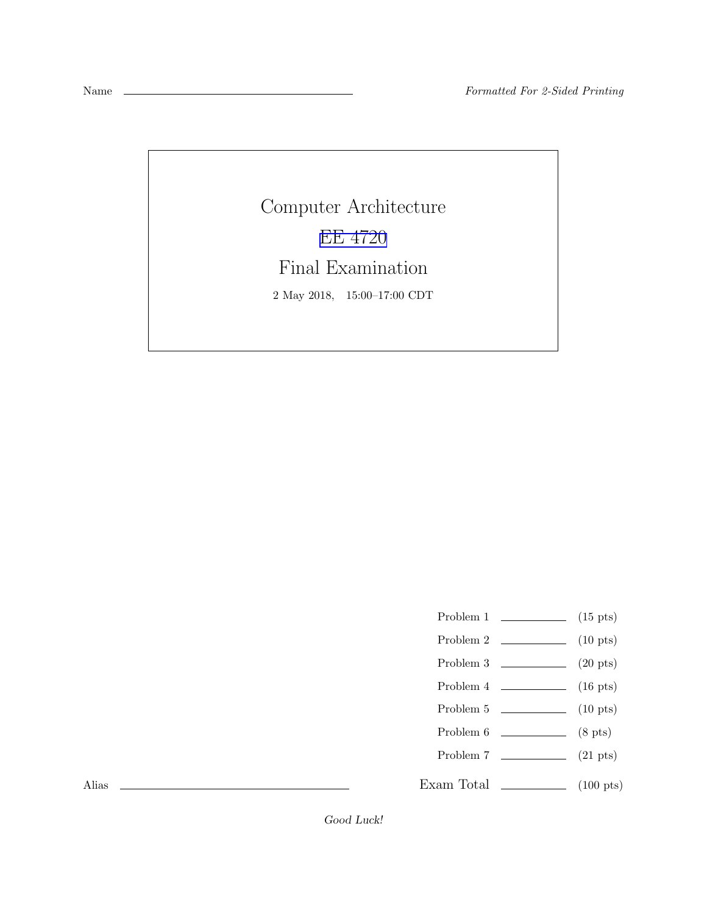Computer Architecture [EE 4720](http://www.ece.lsu.edu/ee4720/) Final Examination 2 May 2018, 15:00–17:00 CDT

- Problem 1  $\qquad \qquad$  (15 pts)
- Problem 2 (10 pts)
- Problem 3 (20 pts)
- Problem  $4 \t\t(16 \text{ pts})$
- Problem 5 (10 pts)
- Problem  $6 \t\t(8 \text{ pts})$
- Problem 7 (21 pts)
- Exam Total (100 pts)

Alias

Good Luck!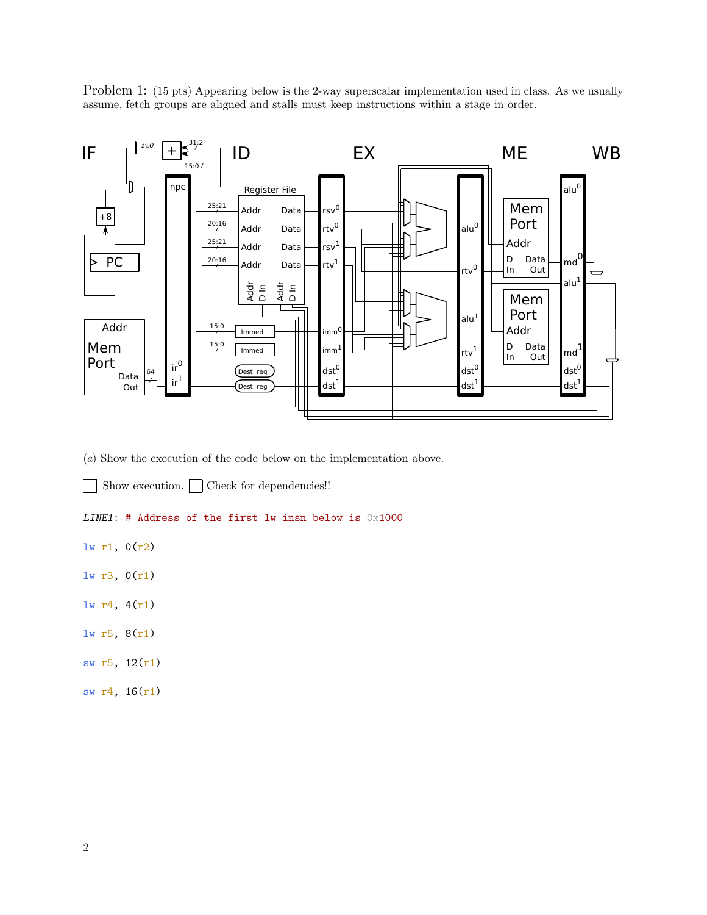Problem 1: (15 pts) Appearing below is the 2-way superscalar implementation used in class. As we usually assume, fetch groups are aligned and stalls must keep instructions within a stage in order.



(a) Show the execution of the code below on the implementation above.

Show execution.  $\Box$  Check for dependencies!!

## LINE1: # Address of the first lw insn below is  $0x1000$

lw r1, 0(r2)

- lw r3, 0(r1)
- lw r4, 4(r1)
- lw r5, 8(r1)
- sw r5, 12(r1)
- sw r4, 16(r1)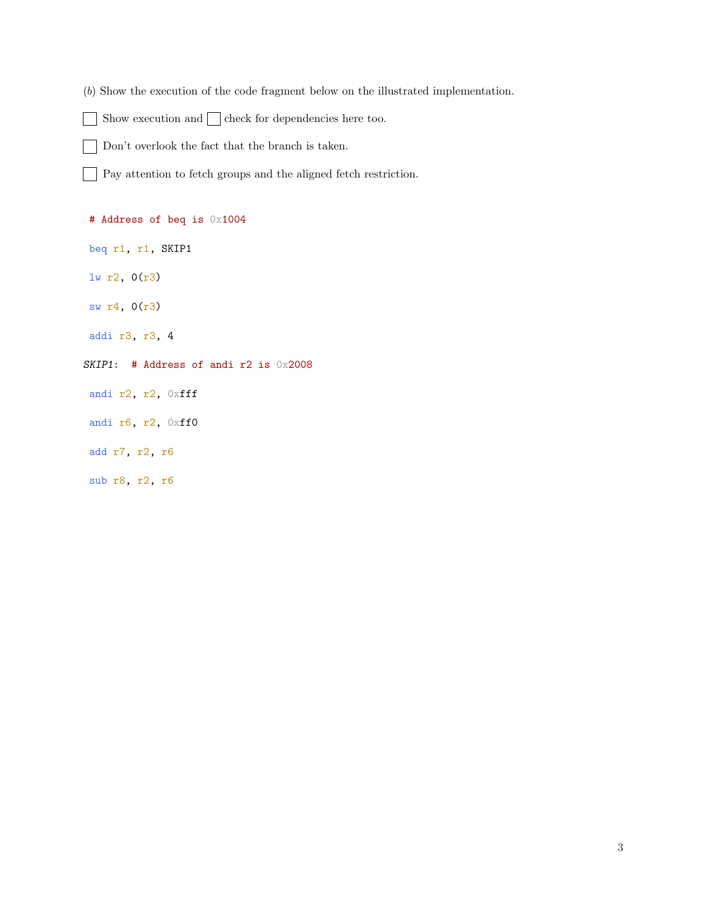- (b) Show the execution of the code fragment below on the illustrated implementation.
- Show execution and  $\Box$  check for dependencies here too.  $\blacksquare$
- $\overline{\phantom{a}}$ Don't overlook the fact that the branch is taken.

Pay attention to fetch groups and the aligned fetch restriction.

# Address of beq is 0x1004

- beq r1, r1, SKIP1
- lw r2, 0(r3)
- sw r4, 0(r3)
- addi r3, r3, 4
- SKIP1: # Address of andi r2 is 0x2008
- andi r2, r2, 0xfff
- andi r6, r2, 0xff0
- add r7, r2, r6
- sub r8, r2, r6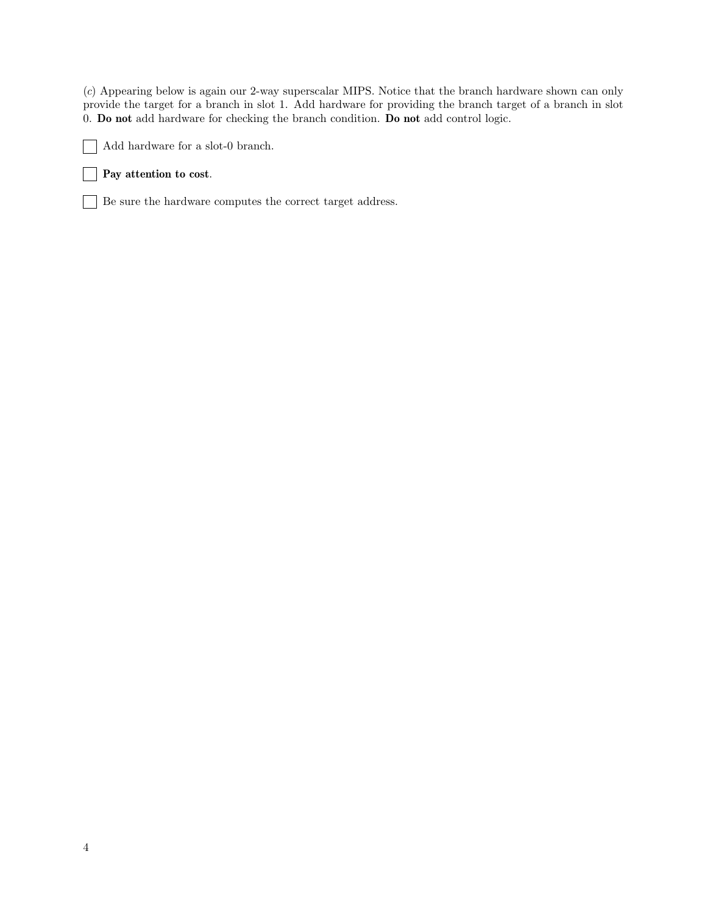(c) Appearing below is again our 2-way superscalar MIPS. Notice that the branch hardware shown can only provide the target for a branch in slot 1. Add hardware for providing the branch target of a branch in slot 0. Do not add hardware for checking the branch condition. Do not add control logic.



## **Pay attention to cost.**

Be sure the hardware computes the correct target address.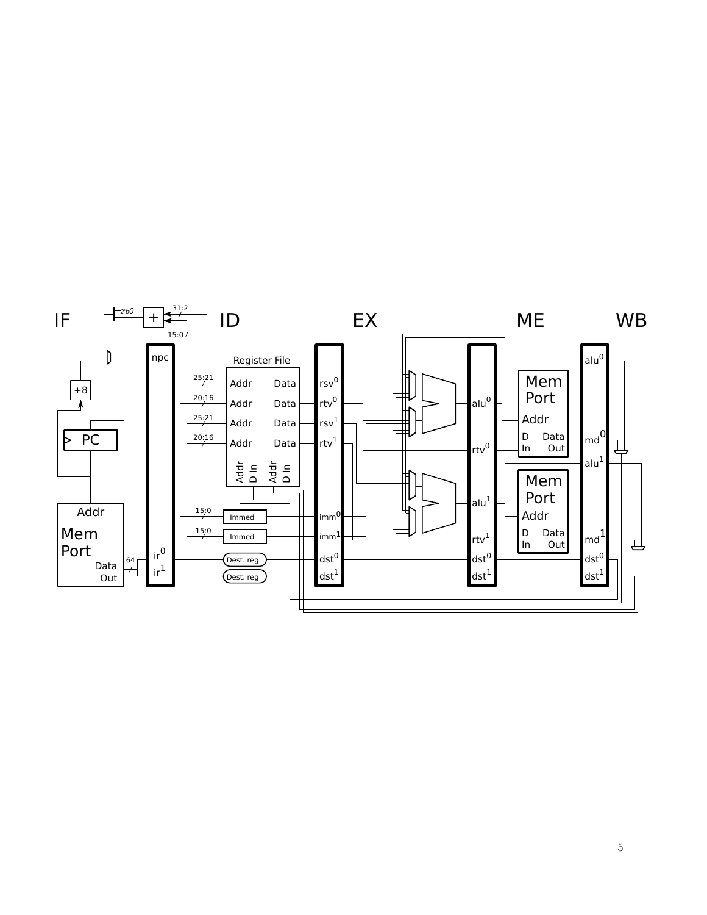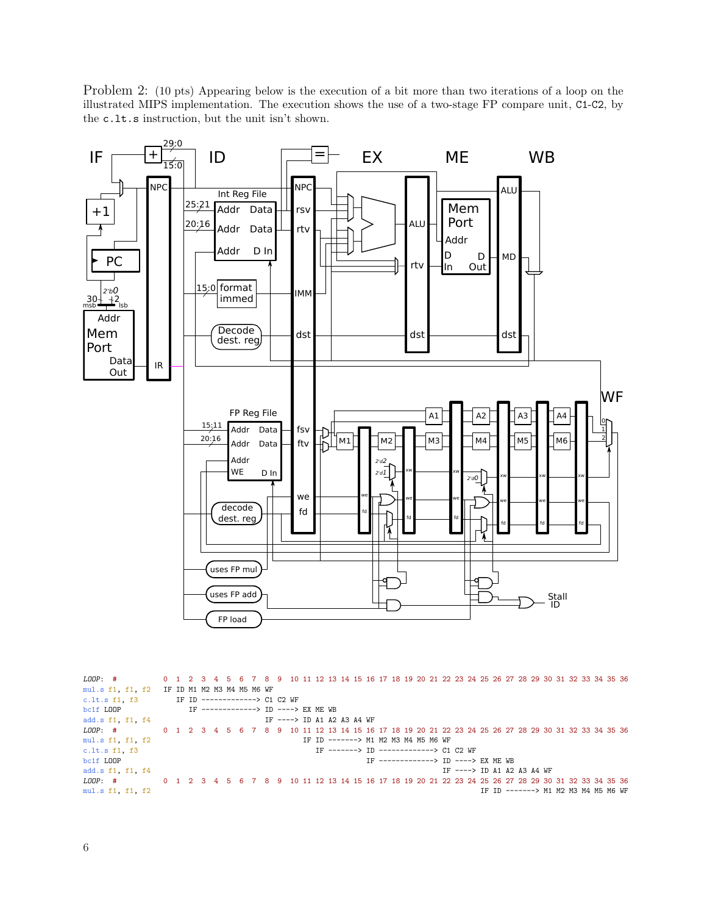Problem 2: (10 pts) Appearing below is the execution of a bit more than two iterations of a loop on the illustrated MIPS implementation. The execution shows the use of a two-stage FP compare unit, C1-C2, by the c.lt.s instruction, but the unit isn't shown.



LOOP: # 0 1 2 3 4 5 6 7 8 9 10 11 12 13 14 15 16 17 18 19 20 21 22 23 24 25 26 27 28 29 30 31 32 33 34 35 36 mul.s f1, f1, f2 IF ID M1 M2 M3 M4 M5 M6 WF c.lt.s f1, f3 IF ID -------------> C1  $\begin{tabular}{lllllllllll} c.l.t.s & f1, & f3 & & & \text{IF ID} &--------------> & C1 & C2 & \text{WF} \\ \text{bc1f LOOP} & & & & \text{IF} &----------> & ID &----> \\ \end{tabular}$ bc1f LOOP IF -------------> ID ----> EX ME WB  $IF$  ----> ID A1 A2 A3 A4 WF LOOP: # 0 1 2 3 4 5 6 7 8 9 10 11 12 13 14 15 16 17 18 19 20 21 22 23 24 25 26 27 28 29 30 31 32 33 34 35 36<br>mul.s f1, f1, f2 IF ID -------> M1 M2 M3 M4 M5 M6 WF mul.s f1, f1, f2 <br>
TF ID -------> M1 M2 M3 M4 M5 M6 WF<br>
IF -------> ID --------------> C1 c.lt.s f1, f3  $\text{IF}$  --------> ID -------------> C1 C2 WF boif LOOP  $\text{IF}$  ----------------> ID ----> IF -------------> ID ----> EX ME WB add.s f1, f1, f4<br>  $LOP:$  # 0 1 2 3 4 5 6 7 8 9 10 11 12 13 14 15 16 17 18 19 20 21 22 23 24 25 26 27 28 29 30 LOOP: # 0 1 2 3 4 5 6 7 8 9 10 11 12 13 14 15 16 17 18 19 20 21 22 23 24 25 26 27 28 29 30 31 32 33 34 35 36 mul.s f1, f1, f2 IF ID -------> M1 M2 M3 M4 M5 M6 WF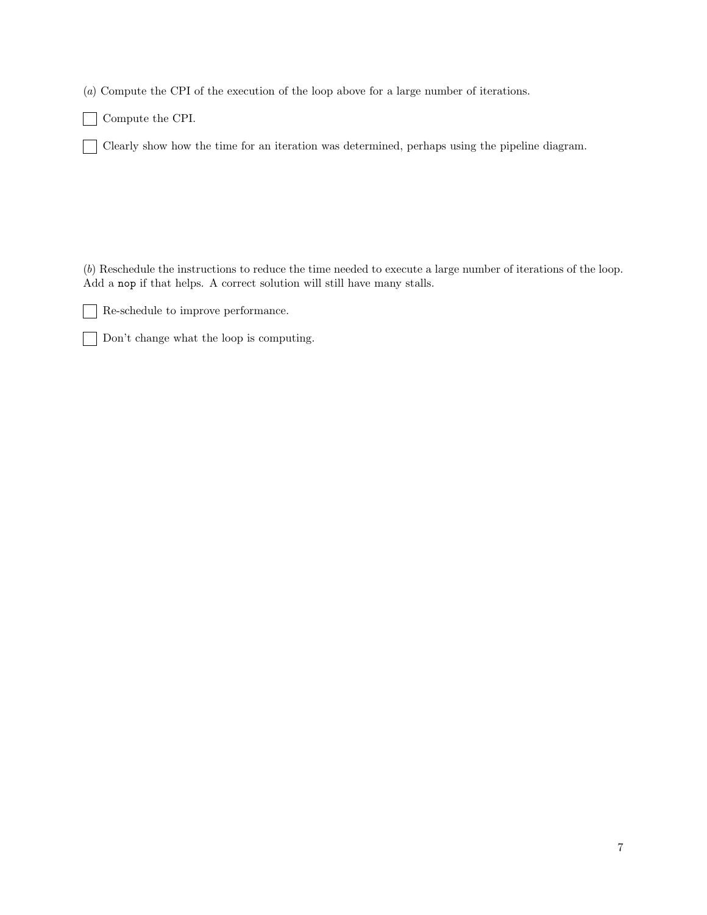(a) Compute the CPI of the execution of the loop above for a large number of iterations.

Compute the CPI.  $\blacksquare$ 

 $\blacksquare$ 

Clearly show how the time for an iteration was determined, perhaps using the pipeline diagram.  $\overline{\phantom{a}}$ 

(b) Reschedule the instructions to reduce the time needed to execute a large number of iterations of the loop. Add a nop if that helps. A correct solution will still have many stalls.

 $\Box$ Re-schedule to improve performance.

Don't change what the loop is computing.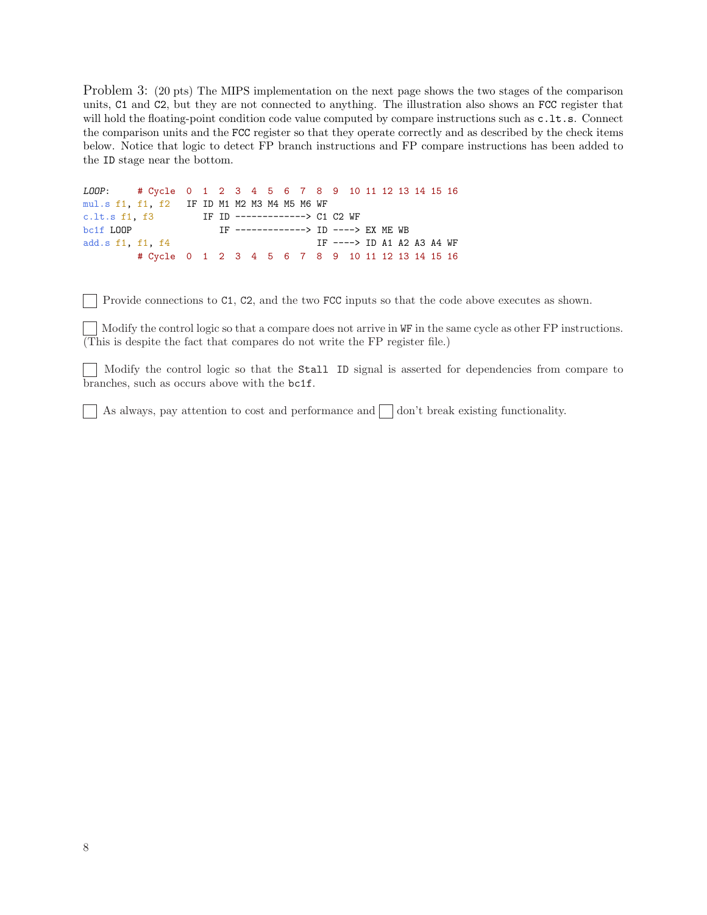Problem 3: (20 pts) The MIPS implementation on the next page shows the two stages of the comparison units, C1 and C2, but they are not connected to anything. The illustration also shows an FCC register that will hold the floating-point condition code value computed by compare instructions such as  $c.l.t.s.$  Connect the comparison units and the FCC register so that they operate correctly and as described by the check items below. Notice that logic to detect FP branch instructions and FP compare instructions has been added to the ID stage near the bottom.

```
LOOP: # Cycle 0 1 2 3 4 5 6 7 8 9 10 11 12 13 14 15 16
mul.s f1, f1, f2 IF ID M1 M2 M3 M4 M5 M6 WF
c.lt.s f1, f3 IF ID -------------> C1 C2 WF
bc1f LOOP IF ------------> ID ----> EX ME WB
add.s f1, f1, f4 IF ----> ID A1 A2 A3 A4 WF
       # Cycle 0 1 2 3 4 5 6 7 8 9 10 11 12 13 14 15 16
```
Provide connections to C1, C2, and the two FCC inputs so that the code above executes as shown.

Modify the control logic so that a compare does not arrive in WF in the same cycle as other FP instructions. (This is despite the fact that compares do not write the FP register file.)

Modify the control logic so that the Stall ID signal is asserted for dependencies from compare to branches, such as occurs above with the bc1f.

As always, pay attention to cost and performance and  $\Box$  don't break existing functionality.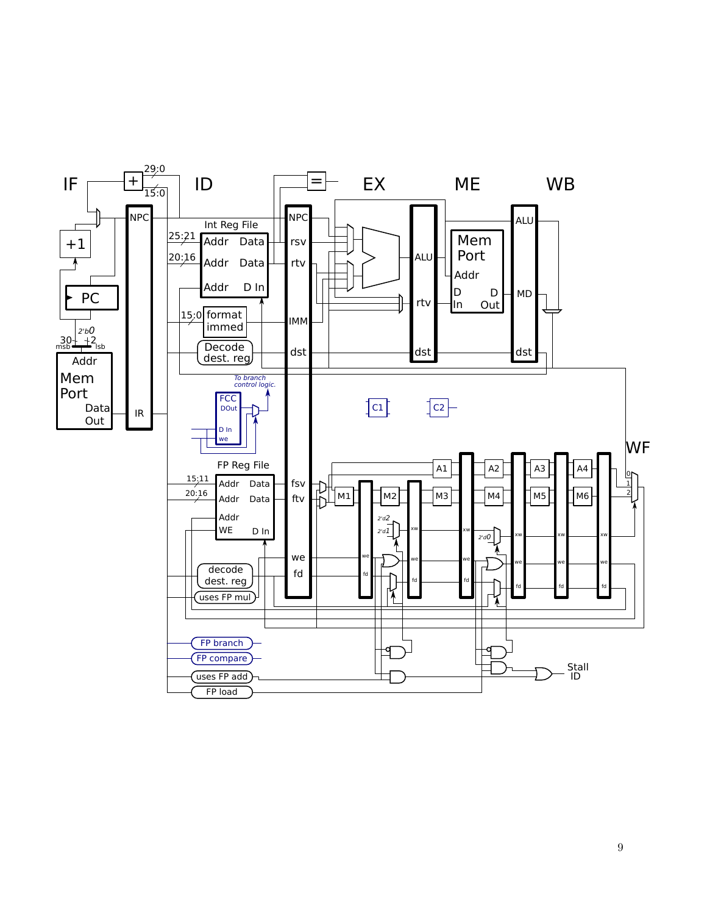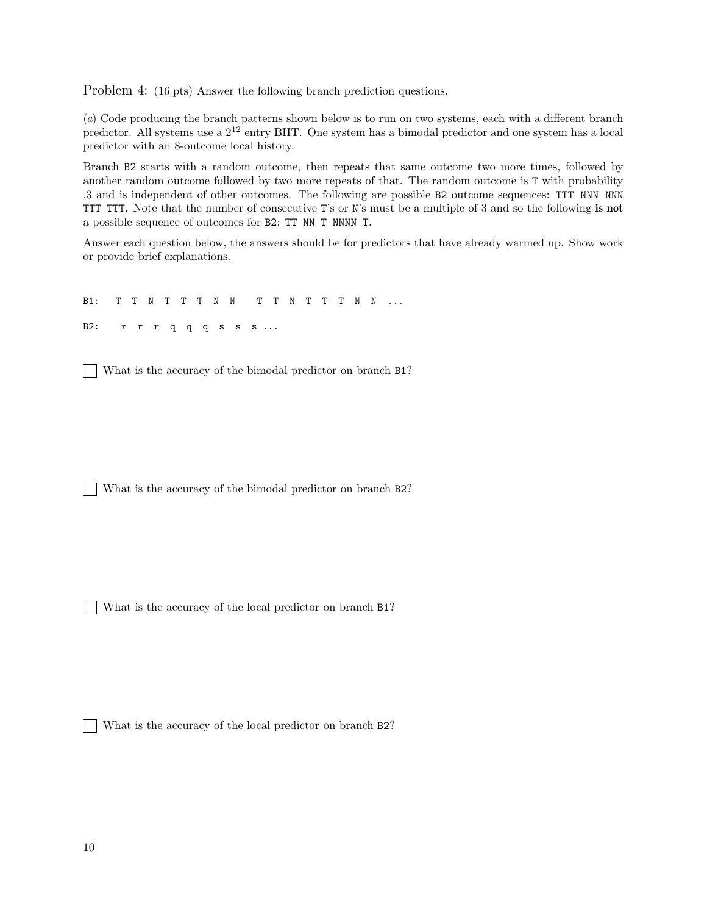Problem 4: (16 pts) Answer the following branch prediction questions.

(a) Code producing the branch patterns shown below is to run on two systems, each with a different branch predictor. All systems use a  $2^{12}$  entry BHT. One system has a bimodal predictor and one system has a local predictor with an 8-outcome local history.

Branch B2 starts with a random outcome, then repeats that same outcome two more times, followed by another random outcome followed by two more repeats of that. The random outcome is T with probability .3 and is independent of other outcomes. The following are possible B2 outcome sequences: TTT NNN NNN TTT TTT. Note that the number of consecutive T's or N's must be a multiple of 3 and so the following is not a possible sequence of outcomes for B2: TT NN T NNNN T.

Answer each question below, the answers should be for predictors that have already warmed up. Show work or provide brief explanations.

B1: T T N T T T N N T T N T T T N N ... B2: r r r q q q s s s ...

What is the accuracy of the bimodal predictor on branch B1?  $\mathbb{R}^n$ 

What is the accuracy of the bimodal predictor on branch B2?

What is the accuracy of the local predictor on branch B1?  $\Box$ 

 $\mathbb{R}^n$ What is the accuracy of the local predictor on branch B2?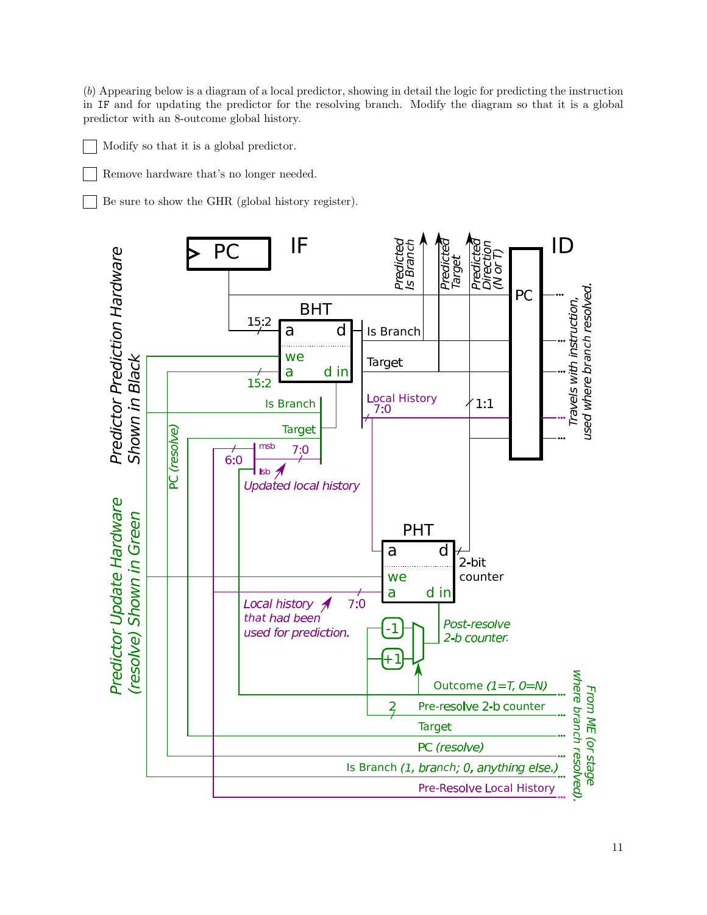(b) Appearing below is a diagram of a local predictor, showing in detail the logic for predicting the instruction in IF and for updating the predictor for the resolving branch. Modify the diagram so that it is a global predictor with an 8-outcome global history.

Modify so that it is a global predictor.

Remove hardware that's no longer needed.

Be sure to show the GHR (global history register).

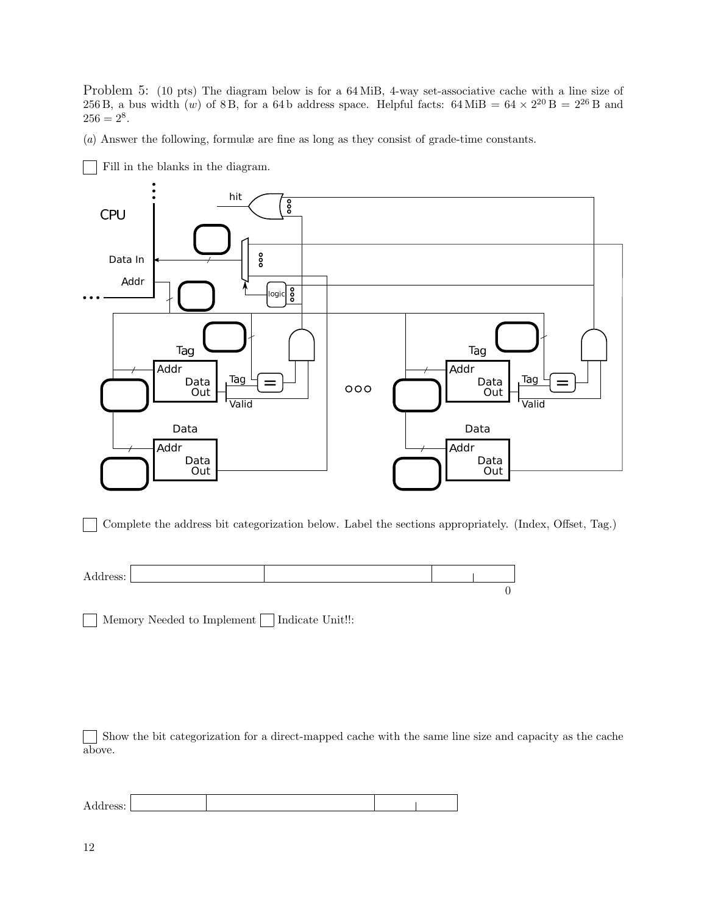Problem 5: (10 pts) The diagram below is for a 64 MiB, 4-way set-associative cache with a line size of 256 B, a bus width  $(w)$  of 8 B, for a 64 b address space. Helpful facts: 64 MiB = 64  $\times$  2<sup>20</sup> B = 2<sup>26</sup> B and  $256 = 2^8.$ 

(a) Answer the following, formulæ are fine as long as they consist of grade-time constants.



Fill in the blanks in the diagram.

Complete the address bit categorization below. Label the sections appropriately. (Index, Offset, Tag.)



Memory Needed to Implement | Indicate Unit!!:

Show the bit categorization for a direct-mapped cache with the same line size and capacity as the cache above.

Address: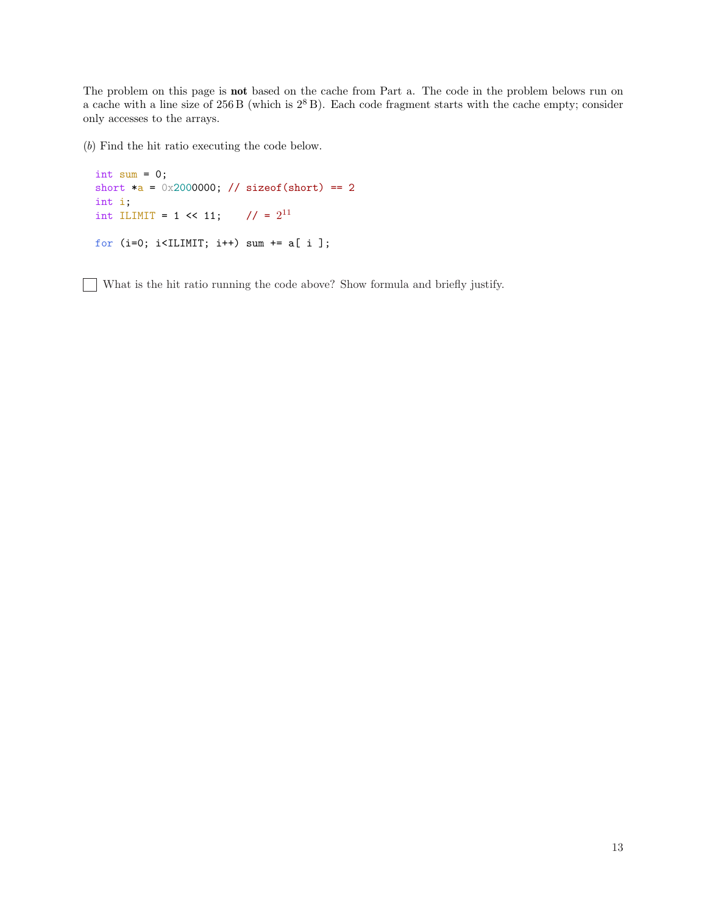The problem on this page is **not** based on the cache from Part a. The code in the problem belows run on a cache with a line size of  $256B$  (which is  $2^8B$ ). Each code fragment starts with the cache empty; consider only accesses to the arrays.

(b) Find the hit ratio executing the code below.

```
int sum = 0;
short *_a = 0x2000000; // sizeof(short) == 2
int i;
int ILIMIT = 1 << 11; // = 2^{11}for (i=0; i<ILIMIT; i++) sum += a[ i ];
```
What is the hit ratio running the code above? Show formula and briefly justify.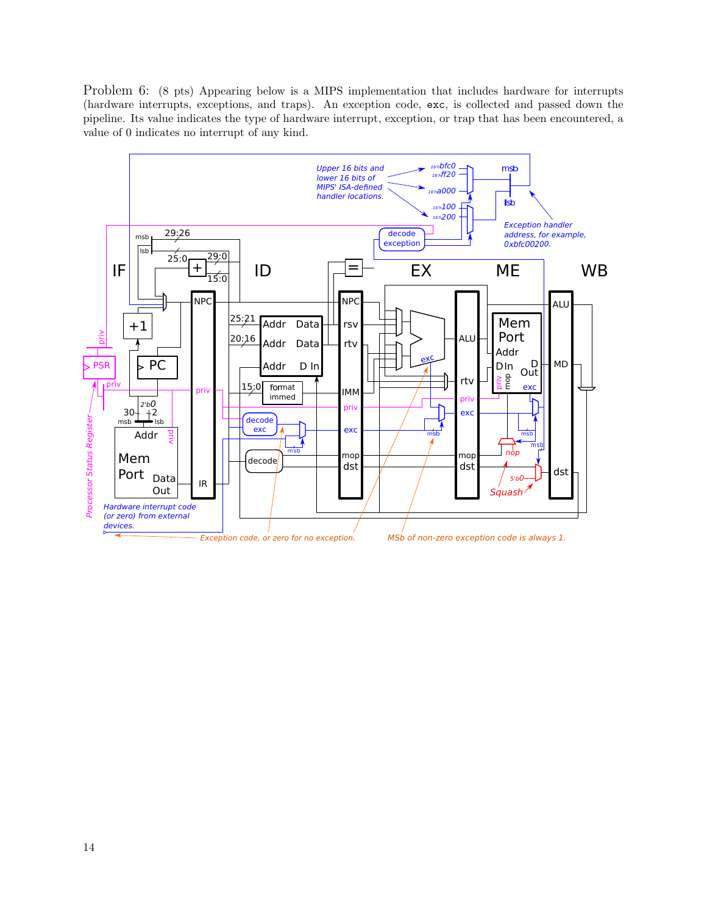Problem 6: (8 pts) Appearing below is a MIPS implementation that includes hardware for interrupts (hardware interrupts, exceptions, and traps). An exception code, exc, is collected and passed down the pipeline. Its value indicates the type of hardware interrupt, exception, or trap that has been encountered, a value of 0 indicates no interrupt of any kind.

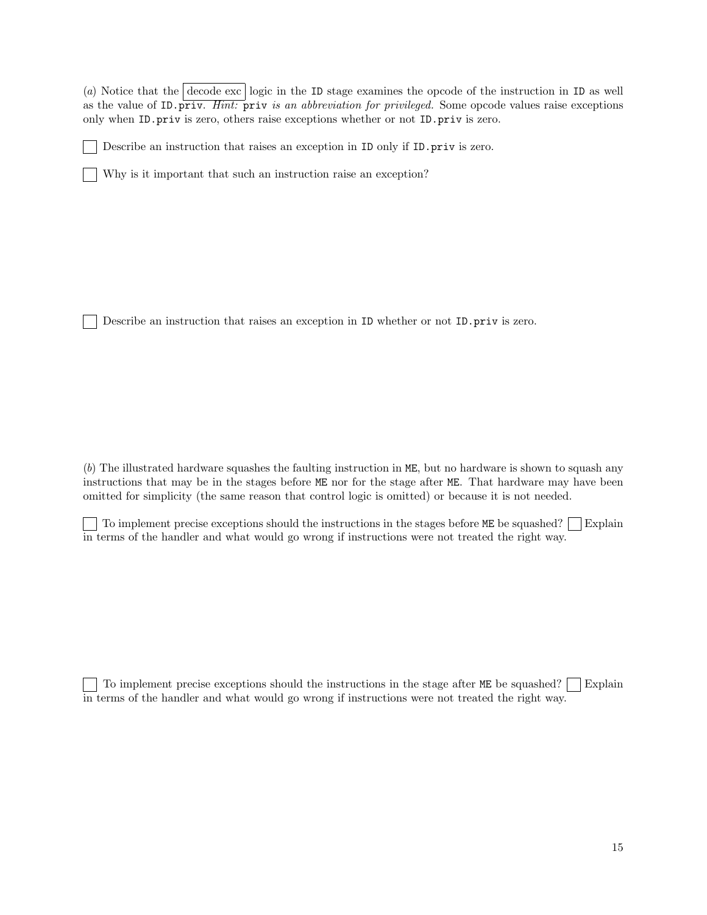(a) Notice that the decode exc logic in the ID stage examines the opcode of the instruction in ID as well as the value of ID.priv. Hint: priv is an abbreviation for privileged. Some opcode values raise exceptions only when ID.priv is zero, others raise exceptions whether or not ID.priv is zero.

Describe an instruction that raises an exception in ID only if ID.priv is zero.

Why is it important that such an instruction raise an exception?

Describe an instruction that raises an exception in ID whether or not ID.priv is zero.

(b) The illustrated hardware squashes the faulting instruction in ME, but no hardware is shown to squash any instructions that may be in the stages before ME nor for the stage after ME. That hardware may have been omitted for simplicity (the same reason that control logic is omitted) or because it is not needed.

To implement precise exceptions should the instructions in the stages before ME be squashed? Explain in terms of the handler and what would go wrong if instructions were not treated the right way.

To implement precise exceptions should the instructions in the stage after  $ME$  be squashed? Explain in terms of the handler and what would go wrong if instructions were not treated the right way.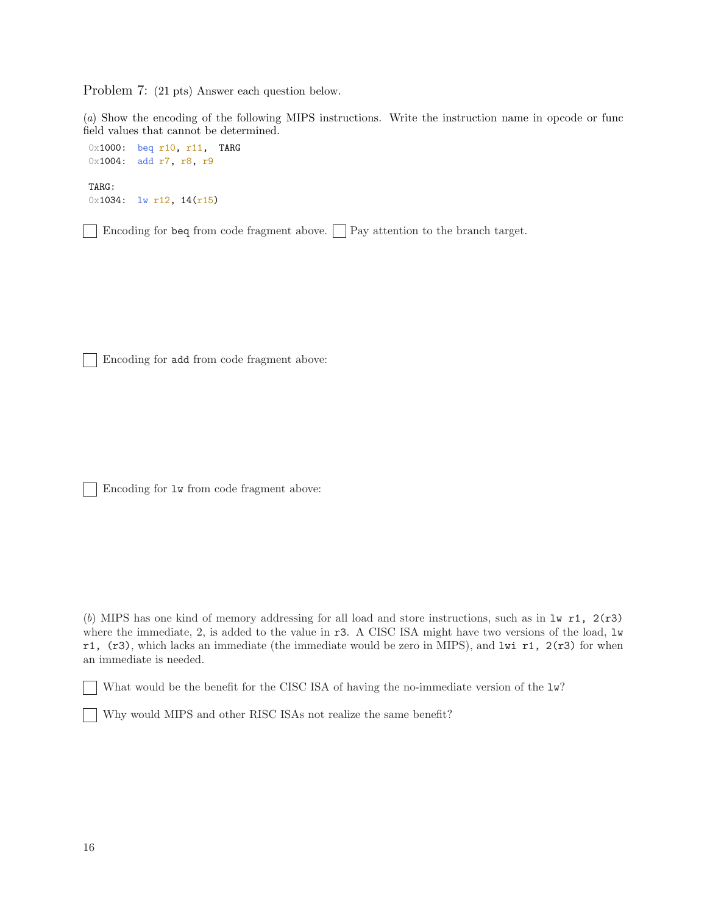Problem 7: (21 pts) Answer each question below.

(a) Show the encoding of the following MIPS instructions. Write the instruction name in opcode or func field values that cannot be determined.

```
0x1000: beq r10, r11, TARG
0x1004: add r7, r8, r9
TARG:
0x1034: lw r12, 14(r15)
```
Encoding for beq from code fragment above.  $\Box$  Pay attention to the branch target.

Encoding for add from code fragment above:

Encoding for lw from code fragment above:

(b) MIPS has one kind of memory addressing for all load and store instructions, such as in  $1w$  r1,  $2(r3)$ where the immediate, 2, is added to the value in r3. A CISC ISA might have two versions of the load, lw r1,  $(r3)$ , which lacks an immediate (the immediate would be zero in MIPS), and lwi r1,  $2(r3)$  for when an immediate is needed.

What would be the benefit for the CISC ISA of having the no-immediate version of the  $1w$ ?

Why would MIPS and other RISC ISAs not realize the same benefit?